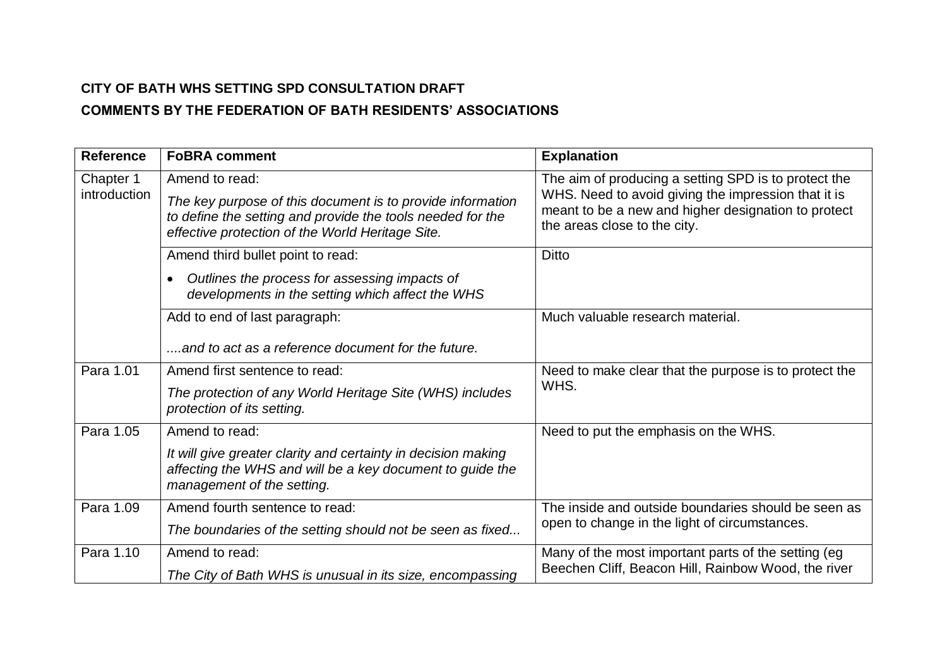## **CITY OF BATH WHS SETTING SPD CONSULTATION DRAFT COMMENTS BY THE FEDERATION OF BATH RESIDENTS' ASSOCIATIONS**

| <b>Reference</b>          | <b>FoBRA comment</b>                                                                                                                                                                           | <b>Explanation</b>                                                                                                                                                                                 |
|---------------------------|------------------------------------------------------------------------------------------------------------------------------------------------------------------------------------------------|----------------------------------------------------------------------------------------------------------------------------------------------------------------------------------------------------|
| Chapter 1<br>introduction | Amend to read:<br>The key purpose of this document is to provide information<br>to define the setting and provide the tools needed for the<br>effective protection of the World Heritage Site. | The aim of producing a setting SPD is to protect the<br>WHS. Need to avoid giving the impression that it is<br>meant to be a new and higher designation to protect<br>the areas close to the city. |
|                           | Amend third bullet point to read:<br>Outlines the process for assessing impacts of<br>developments in the setting which affect the WHS                                                         | <b>Ditto</b>                                                                                                                                                                                       |
|                           | Add to end of last paragraph:<br>and to act as a reference document for the future.                                                                                                            | Much valuable research material.                                                                                                                                                                   |
| Para 1.01                 | Amend first sentence to read:<br>The protection of any World Heritage Site (WHS) includes<br>protection of its setting.                                                                        | Need to make clear that the purpose is to protect the<br>WHS.                                                                                                                                      |
| Para 1.05                 | Amend to read:<br>It will give greater clarity and certainty in decision making<br>affecting the WHS and will be a key document to guide the<br>management of the setting.                     | Need to put the emphasis on the WHS.                                                                                                                                                               |
| Para 1.09                 | Amend fourth sentence to read:<br>The boundaries of the setting should not be seen as fixed                                                                                                    | The inside and outside boundaries should be seen as<br>open to change in the light of circumstances.                                                                                               |
| Para 1.10                 | Amend to read:<br>The City of Bath WHS is unusual in its size, encompassing                                                                                                                    | Many of the most important parts of the setting (eg<br>Beechen Cliff, Beacon Hill, Rainbow Wood, the river                                                                                         |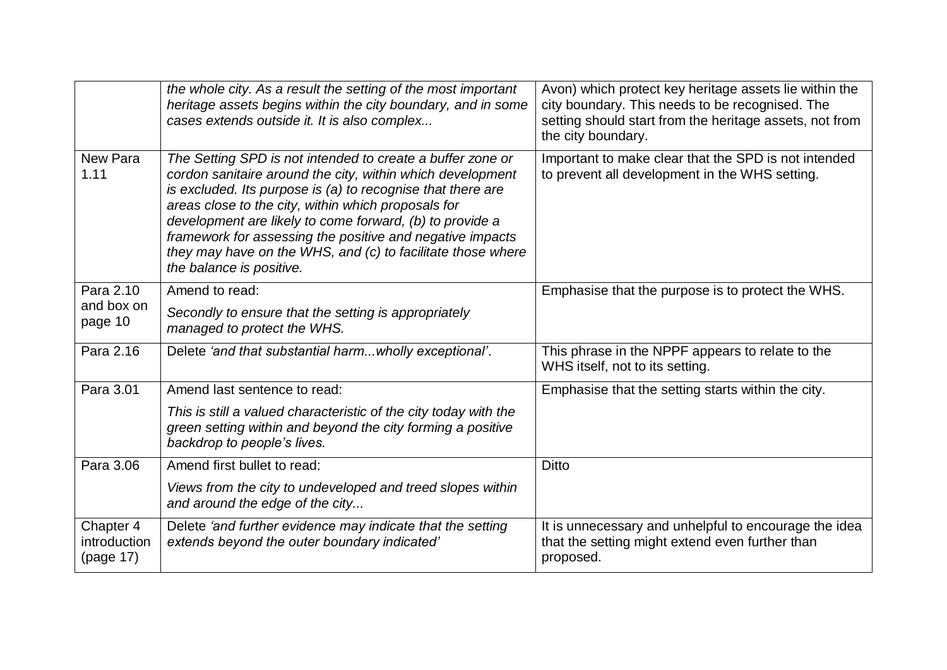|                                        | the whole city. As a result the setting of the most important<br>heritage assets begins within the city boundary, and in some<br>cases extends outside it. It is also complex                                                                                                                                                                                                                                                                                      | Avon) which protect key heritage assets lie within the<br>city boundary. This needs to be recognised. The<br>setting should start from the heritage assets, not from<br>the city boundary. |
|----------------------------------------|--------------------------------------------------------------------------------------------------------------------------------------------------------------------------------------------------------------------------------------------------------------------------------------------------------------------------------------------------------------------------------------------------------------------------------------------------------------------|--------------------------------------------------------------------------------------------------------------------------------------------------------------------------------------------|
| New Para<br>1.11                       | The Setting SPD is not intended to create a buffer zone or<br>cordon sanitaire around the city, within which development<br>is excluded. Its purpose is (a) to recognise that there are<br>areas close to the city, within which proposals for<br>development are likely to come forward, (b) to provide a<br>framework for assessing the positive and negative impacts<br>they may have on the WHS, and (c) to facilitate those where<br>the balance is positive. | Important to make clear that the SPD is not intended<br>to prevent all development in the WHS setting.                                                                                     |
| Para 2.10                              | Amend to read:                                                                                                                                                                                                                                                                                                                                                                                                                                                     | Emphasise that the purpose is to protect the WHS.                                                                                                                                          |
| and box on<br>page 10                  | Secondly to ensure that the setting is appropriately<br>managed to protect the WHS.                                                                                                                                                                                                                                                                                                                                                                                |                                                                                                                                                                                            |
| Para 2.16                              | Delete 'and that substantial harm wholly exceptional'.                                                                                                                                                                                                                                                                                                                                                                                                             | This phrase in the NPPF appears to relate to the<br>WHS itself, not to its setting.                                                                                                        |
| Para 3.01                              | Amend last sentence to read:                                                                                                                                                                                                                                                                                                                                                                                                                                       | Emphasise that the setting starts within the city.                                                                                                                                         |
|                                        | This is still a valued characteristic of the city today with the<br>green setting within and beyond the city forming a positive<br>backdrop to people's lives.                                                                                                                                                                                                                                                                                                     |                                                                                                                                                                                            |
| Para 3.06                              | Amend first bullet to read:                                                                                                                                                                                                                                                                                                                                                                                                                                        | <b>Ditto</b>                                                                                                                                                                               |
|                                        | Views from the city to undeveloped and treed slopes within<br>and around the edge of the city                                                                                                                                                                                                                                                                                                                                                                      |                                                                                                                                                                                            |
| Chapter 4<br>introduction<br>(page 17) | Delete 'and further evidence may indicate that the setting<br>extends beyond the outer boundary indicated'                                                                                                                                                                                                                                                                                                                                                         | It is unnecessary and unhelpful to encourage the idea<br>that the setting might extend even further than<br>proposed.                                                                      |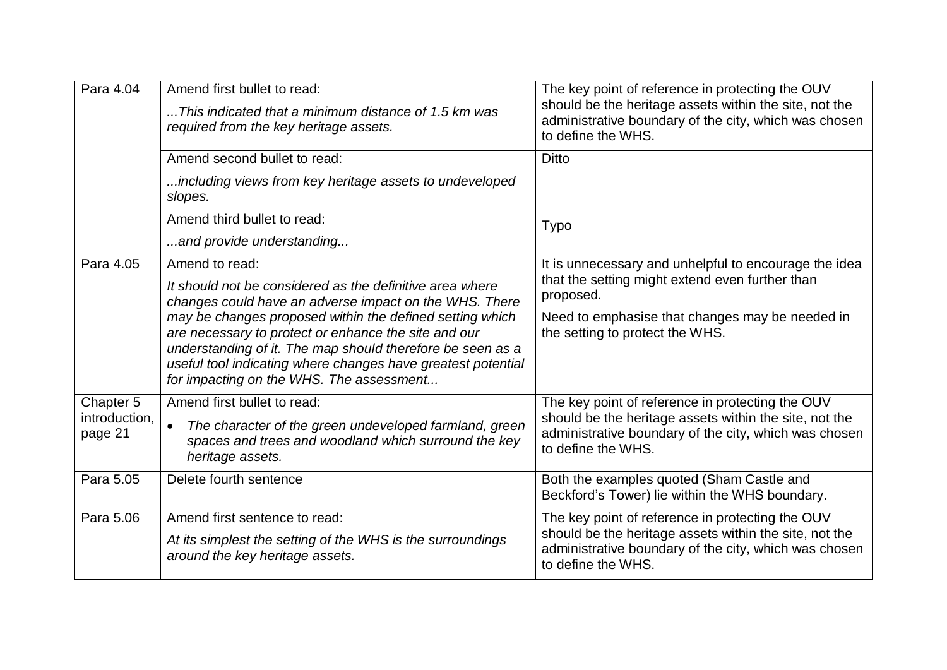| Para 4.04                | Amend first bullet to read:<br>This indicated that a minimum distance of 1.5 km was<br>required from the key heritage assets.                                                                                                                                                                                                                                                                                    | The key point of reference in protecting the OUV<br>should be the heritage assets within the site, not the<br>administrative boundary of the city, which was chosen<br>to define the WHS. |
|--------------------------|------------------------------------------------------------------------------------------------------------------------------------------------------------------------------------------------------------------------------------------------------------------------------------------------------------------------------------------------------------------------------------------------------------------|-------------------------------------------------------------------------------------------------------------------------------------------------------------------------------------------|
|                          | Amend second bullet to read:                                                                                                                                                                                                                                                                                                                                                                                     | <b>Ditto</b>                                                                                                                                                                              |
|                          | including views from key heritage assets to undeveloped<br>slopes.                                                                                                                                                                                                                                                                                                                                               |                                                                                                                                                                                           |
|                          | Amend third bullet to read:                                                                                                                                                                                                                                                                                                                                                                                      | <b>Typo</b>                                                                                                                                                                               |
|                          | and provide understanding                                                                                                                                                                                                                                                                                                                                                                                        |                                                                                                                                                                                           |
| Para 4.05                | Amend to read:                                                                                                                                                                                                                                                                                                                                                                                                   | It is unnecessary and unhelpful to encourage the idea                                                                                                                                     |
|                          | It should not be considered as the definitive area where<br>changes could have an adverse impact on the WHS. There<br>may be changes proposed within the defined setting which<br>are necessary to protect or enhance the site and our<br>understanding of it. The map should therefore be seen as a<br>useful tool indicating where changes have greatest potential<br>for impacting on the WHS. The assessment | that the setting might extend even further than<br>proposed.                                                                                                                              |
|                          |                                                                                                                                                                                                                                                                                                                                                                                                                  | Need to emphasise that changes may be needed in<br>the setting to protect the WHS.                                                                                                        |
| Chapter 5                | Amend first bullet to read:                                                                                                                                                                                                                                                                                                                                                                                      | The key point of reference in protecting the OUV                                                                                                                                          |
| introduction,<br>page 21 | The character of the green undeveloped farmland, green<br>$\bullet$<br>spaces and trees and woodland which surround the key<br>heritage assets.                                                                                                                                                                                                                                                                  | should be the heritage assets within the site, not the<br>administrative boundary of the city, which was chosen<br>to define the WHS.                                                     |
| Para 5.05                | Delete fourth sentence                                                                                                                                                                                                                                                                                                                                                                                           | Both the examples quoted (Sham Castle and<br>Beckford's Tower) lie within the WHS boundary.                                                                                               |
| Para 5.06                | Amend first sentence to read:                                                                                                                                                                                                                                                                                                                                                                                    | The key point of reference in protecting the OUV<br>should be the heritage assets within the site, not the<br>administrative boundary of the city, which was chosen<br>to define the WHS. |
|                          | At its simplest the setting of the WHS is the surroundings<br>around the key heritage assets.                                                                                                                                                                                                                                                                                                                    |                                                                                                                                                                                           |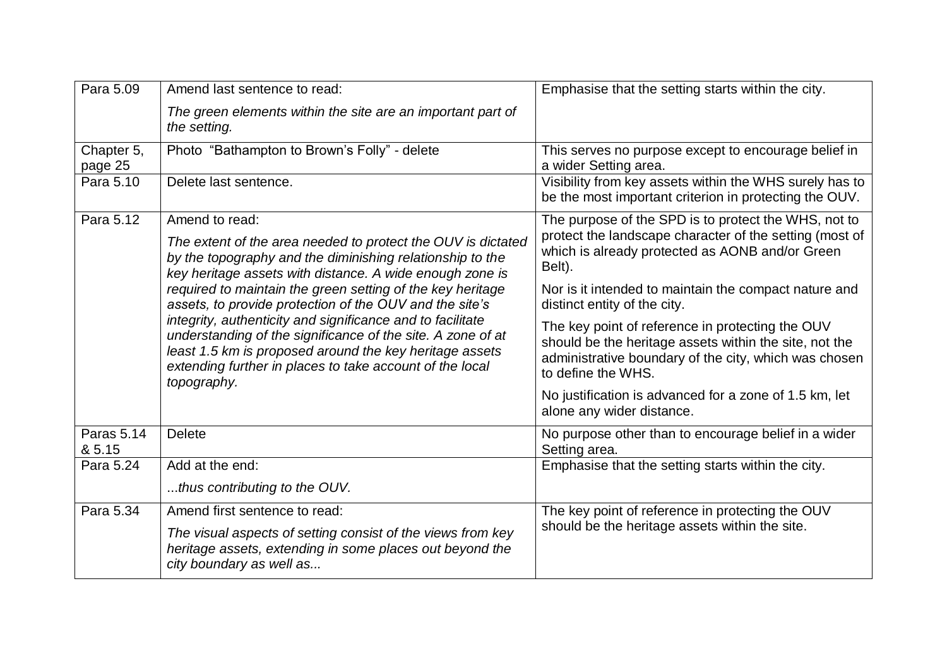| Para 5.09             | Amend last sentence to read:                                                                                                                                                                                                                                    | Emphasise that the setting starts within the city.                                                                                                                                        |
|-----------------------|-----------------------------------------------------------------------------------------------------------------------------------------------------------------------------------------------------------------------------------------------------------------|-------------------------------------------------------------------------------------------------------------------------------------------------------------------------------------------|
|                       | The green elements within the site are an important part of<br>the setting.                                                                                                                                                                                     |                                                                                                                                                                                           |
| Chapter 5,<br>page 25 | Photo "Bathampton to Brown's Folly" - delete                                                                                                                                                                                                                    | This serves no purpose except to encourage belief in<br>a wider Setting area.                                                                                                             |
| Para 5.10             | Delete last sentence.                                                                                                                                                                                                                                           | Visibility from key assets within the WHS surely has to<br>be the most important criterion in protecting the OUV.                                                                         |
| Para 5.12             | Amend to read:<br>The extent of the area needed to protect the OUV is dictated<br>by the topography and the diminishing relationship to the<br>key heritage assets with distance. A wide enough zone is                                                         | The purpose of the SPD is to protect the WHS, not to<br>protect the landscape character of the setting (most of<br>which is already protected as AONB and/or Green<br>Belt).              |
|                       | required to maintain the green setting of the key heritage<br>assets, to provide protection of the OUV and the site's                                                                                                                                           | Nor is it intended to maintain the compact nature and<br>distinct entity of the city.                                                                                                     |
|                       | integrity, authenticity and significance and to facilitate<br>understanding of the significance of the site. A zone of at<br>least 1.5 km is proposed around the key heritage assets<br>extending further in places to take account of the local<br>topography. | The key point of reference in protecting the OUV<br>should be the heritage assets within the site, not the<br>administrative boundary of the city, which was chosen<br>to define the WHS. |
|                       |                                                                                                                                                                                                                                                                 | No justification is advanced for a zone of 1.5 km, let<br>alone any wider distance.                                                                                                       |
| Paras 5.14<br>& 5.15  | <b>Delete</b>                                                                                                                                                                                                                                                   | No purpose other than to encourage belief in a wider<br>Setting area.                                                                                                                     |
| Para 5.24             | Add at the end:                                                                                                                                                                                                                                                 | Emphasise that the setting starts within the city.                                                                                                                                        |
|                       | thus contributing to the OUV.                                                                                                                                                                                                                                   |                                                                                                                                                                                           |
| Para 5.34             | Amend first sentence to read:<br>The visual aspects of setting consist of the views from key<br>heritage assets, extending in some places out beyond the<br>city boundary as well as                                                                            | The key point of reference in protecting the OUV<br>should be the heritage assets within the site.                                                                                        |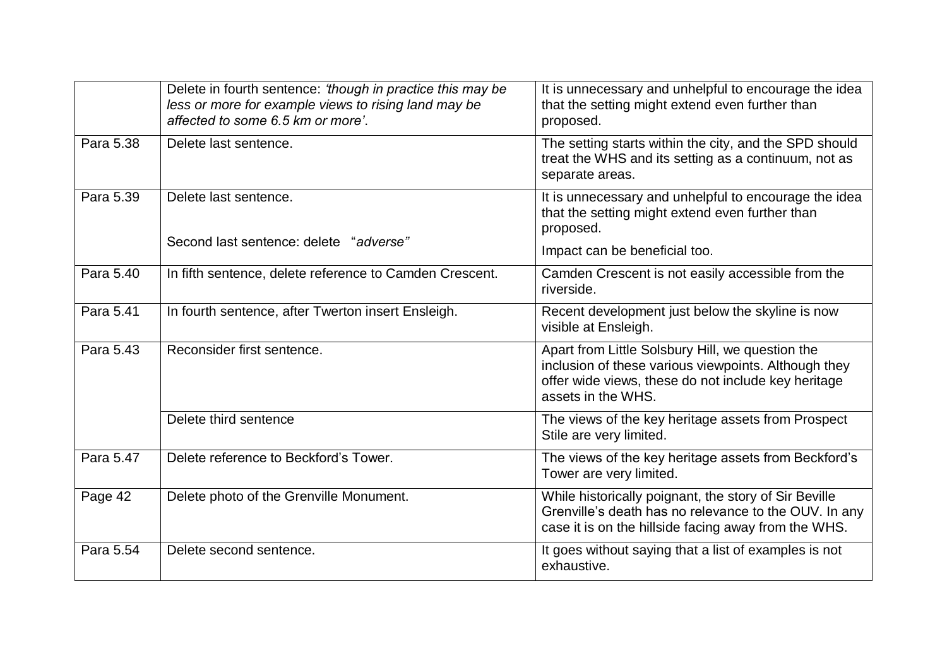|           | Delete in fourth sentence: 'though in practice this may be<br>less or more for example views to rising land may be<br>affected to some 6.5 km or more'. | It is unnecessary and unhelpful to encourage the idea<br>that the setting might extend even further than<br>proposed.                                                                 |
|-----------|---------------------------------------------------------------------------------------------------------------------------------------------------------|---------------------------------------------------------------------------------------------------------------------------------------------------------------------------------------|
| Para 5.38 | Delete last sentence.                                                                                                                                   | The setting starts within the city, and the SPD should<br>treat the WHS and its setting as a continuum, not as<br>separate areas.                                                     |
| Para 5.39 | Delete last sentence.                                                                                                                                   | It is unnecessary and unhelpful to encourage the idea<br>that the setting might extend even further than<br>proposed.                                                                 |
|           | Second last sentence: delete "adverse"                                                                                                                  | Impact can be beneficial too.                                                                                                                                                         |
| Para 5.40 | In fifth sentence, delete reference to Camden Crescent.                                                                                                 | Camden Crescent is not easily accessible from the<br>riverside.                                                                                                                       |
| Para 5.41 | In fourth sentence, after Twerton insert Ensleigh.                                                                                                      | Recent development just below the skyline is now<br>visible at Ensleigh.                                                                                                              |
| Para 5.43 | Reconsider first sentence.                                                                                                                              | Apart from Little Solsbury Hill, we question the<br>inclusion of these various viewpoints. Although they<br>offer wide views, these do not include key heritage<br>assets in the WHS. |
|           | Delete third sentence                                                                                                                                   | The views of the key heritage assets from Prospect<br>Stile are very limited.                                                                                                         |
| Para 5.47 | Delete reference to Beckford's Tower.                                                                                                                   | The views of the key heritage assets from Beckford's<br>Tower are very limited.                                                                                                       |
| Page 42   | Delete photo of the Grenville Monument.                                                                                                                 | While historically poignant, the story of Sir Beville<br>Grenville's death has no relevance to the OUV. In any<br>case it is on the hillside facing away from the WHS.                |
| Para 5.54 | Delete second sentence.                                                                                                                                 | It goes without saying that a list of examples is not<br>exhaustive.                                                                                                                  |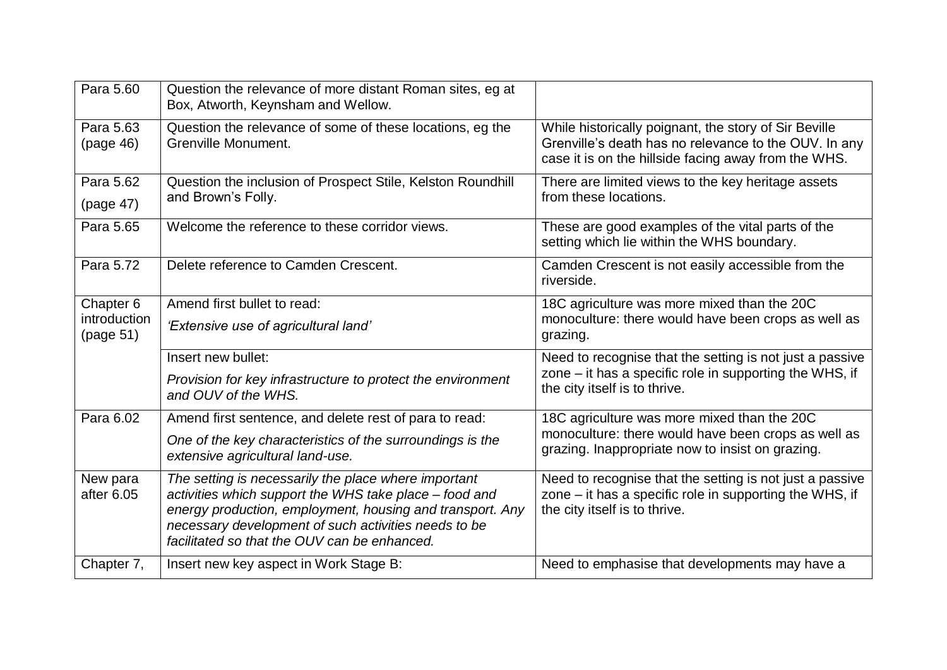| Para 5.60                              | Question the relevance of more distant Roman sites, eg at<br>Box, Atworth, Keynsham and Wellow.                                                                                                                                                                                     |                                                                                                                                                                        |
|----------------------------------------|-------------------------------------------------------------------------------------------------------------------------------------------------------------------------------------------------------------------------------------------------------------------------------------|------------------------------------------------------------------------------------------------------------------------------------------------------------------------|
| Para 5.63<br>(page 46)                 | Question the relevance of some of these locations, eg the<br>Grenville Monument.                                                                                                                                                                                                    | While historically poignant, the story of Sir Beville<br>Grenville's death has no relevance to the OUV. In any<br>case it is on the hillside facing away from the WHS. |
| Para 5.62<br>(page 47)                 | Question the inclusion of Prospect Stile, Kelston Roundhill<br>and Brown's Folly.                                                                                                                                                                                                   | There are limited views to the key heritage assets<br>from these locations.                                                                                            |
| Para 5.65                              | Welcome the reference to these corridor views.                                                                                                                                                                                                                                      | These are good examples of the vital parts of the<br>setting which lie within the WHS boundary.                                                                        |
| Para 5.72                              | Delete reference to Camden Crescent.                                                                                                                                                                                                                                                | Camden Crescent is not easily accessible from the<br>riverside.                                                                                                        |
| Chapter 6<br>introduction<br>(page 51) | Amend first bullet to read:<br>'Extensive use of agricultural land'                                                                                                                                                                                                                 | 18C agriculture was more mixed than the 20C<br>monoculture: there would have been crops as well as<br>grazing.                                                         |
|                                        | Insert new bullet:<br>Provision for key infrastructure to protect the environment<br>and OUV of the WHS.                                                                                                                                                                            | Need to recognise that the setting is not just a passive<br>zone $-$ it has a specific role in supporting the WHS, if<br>the city itself is to thrive.                 |
| Para 6.02                              | Amend first sentence, and delete rest of para to read:                                                                                                                                                                                                                              | 18C agriculture was more mixed than the 20C                                                                                                                            |
|                                        | One of the key characteristics of the surroundings is the<br>extensive agricultural land-use.                                                                                                                                                                                       | monoculture: there would have been crops as well as<br>grazing. Inappropriate now to insist on grazing.                                                                |
| New para<br>after 6.05                 | The setting is necessarily the place where important<br>activities which support the WHS take place - food and<br>energy production, employment, housing and transport. Any<br>necessary development of such activities needs to be<br>facilitated so that the OUV can be enhanced. | Need to recognise that the setting is not just a passive<br>zone $-$ it has a specific role in supporting the WHS, if<br>the city itself is to thrive.                 |
| Chapter 7,                             | Insert new key aspect in Work Stage B:                                                                                                                                                                                                                                              | Need to emphasise that developments may have a                                                                                                                         |